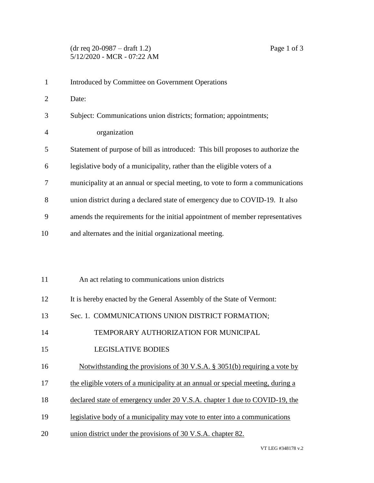| $\mathbf{1}$   | Introduced by Committee on Government Operations                                |
|----------------|---------------------------------------------------------------------------------|
| $\overline{2}$ | Date:                                                                           |
| 3              | Subject: Communications union districts; formation; appointments;               |
| 4              | organization                                                                    |
| 5              | Statement of purpose of bill as introduced: This bill proposes to authorize the |
| 6              | legislative body of a municipality, rather than the eligible voters of a        |
| 7              | municipality at an annual or special meeting, to vote to form a communications  |
| 8              | union district during a declared state of emergency due to COVID-19. It also    |
| 9              | amends the requirements for the initial appointment of member representatives   |
| 10             | and alternates and the initial organizational meeting.                          |
|                |                                                                                 |
|                |                                                                                 |
| 11             | An act relating to communications union districts                               |
| 12             | It is hereby enacted by the General Assembly of the State of Vermont:           |
| 13             | Sec. 1. COMMUNICATIONS UNION DISTRICT FORMATION;                                |
| 14             | TEMPORARY AUTHORIZATION FOR MUNICIPAL                                           |
| 15             | <b>LEGISLATIVE BODIES</b>                                                       |
| 16             | Notwithstanding the provisions of 30 V.S.A. $\S$ 3051(b) requiring a vote by    |
| 17             | the eligible voters of a municipality at an annual or special meeting, during a |
| 18             | declared state of emergency under 20 V.S.A. chapter 1 due to COVID-19, the      |
| 19             | legislative body of a municipality may vote to enter into a communications      |
|                |                                                                                 |

20 union district under the provisions of 30 V.S.A. chapter 82.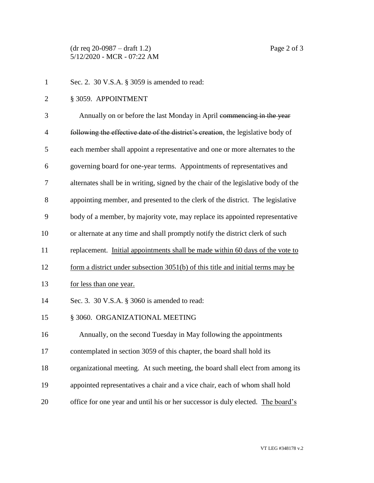(dr req 20-0987 – draft 1.2) Page 2 of 3 5/12/2020 - MCR - 07:22 AM

- Sec. 2. 30 V.S.A. § 3059 is amended to read:
- § 3059. APPOINTMENT

| 3              | Annually on or before the last Monday in April commencing in the year              |
|----------------|------------------------------------------------------------------------------------|
| $\overline{4}$ | following the effective date of the district's creation, the legislative body of   |
| 5              | each member shall appoint a representative and one or more alternates to the       |
| 6              | governing board for one-year terms. Appointments of representatives and            |
| 7              | alternates shall be in writing, signed by the chair of the legislative body of the |
| 8              | appointing member, and presented to the clerk of the district. The legislative     |
| 9              | body of a member, by majority vote, may replace its appointed representative       |
| 10             | or alternate at any time and shall promptly notify the district clerk of such      |
| 11             | replacement. Initial appointments shall be made within 60 days of the vote to      |
| 12             | form a district under subsection $3051(b)$ of this title and initial terms may be  |
| 13             | for less than one year.                                                            |
| 14             | Sec. 3. 30 V.S.A. § 3060 is amended to read:                                       |
| 15             | § 3060. ORGANIZATIONAL MEETING                                                     |
| 16             | Annually, on the second Tuesday in May following the appointments                  |
| 17             | contemplated in section 3059 of this chapter, the board shall hold its             |
| 18             | organizational meeting. At such meeting, the board shall elect from among its      |
| 19             | appointed representatives a chair and a vice chair, each of whom shall hold        |
| 20             | office for one year and until his or her successor is duly elected. The board's    |